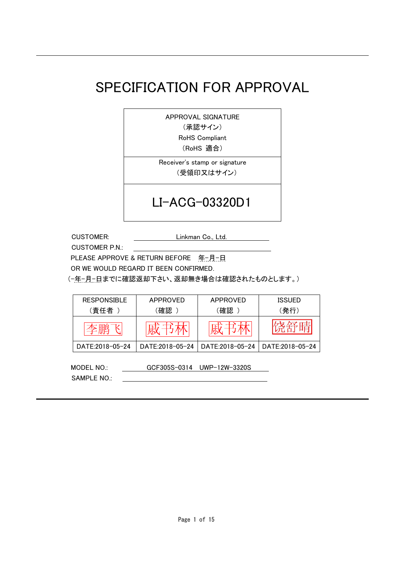# SPECIFICATION FOR APPROVAL

APPROVAL SIGNATURE

(承認サイン)

RoHS Compliant

(RoHS 適合)

Receiver's stamp or signature (受領印又はサイン)

# LI-ACG-03320D1

CUSTOMER: Linkman Co., Ltd.

CUSTOMER P.N.:

PLEASE APPROVE & RETURN BEFORE 年-月-日

OR WE WOULD REGARD IT BEEN CONFIRMED.

(-年-月-日までに確認返却下さい、返却無き場合は確認されたものとします。)

| <b>RESPONSIBLE</b> | APPROVED        | APPROVED        | <b>ISSUED</b>   |
|--------------------|-----------------|-----------------|-----------------|
| (責任者               | (確認             | 確認              | (発行)            |
|                    |                 |                 |                 |
| DATE:2018-05-24    | DATE:2018-05-24 | DATE:2018-05-24 | DATE:2018-05-24 |
|                    |                 |                 |                 |

MODEL NO.: GCF305S-0314 UWP-12W-3320S SAMPLE NO.: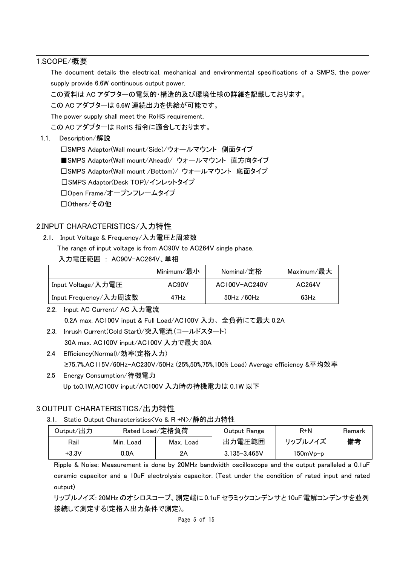#### 1.SCOPE/概要

The document details the electrical, mechanical and environmental specifications of a SMPS, the power supply provide 6.6W continuous output power.

この資料は AC アダプターの電気的・構造的及び環境仕様の詳細を記載しております。

この AC アダプターは 6.6W 連続出力を供給が可能です。

The power supply shall meet the RoHS requirement.

この AC アダプターは RoHS 指令に適合しております。

1.1. Description/解説

□SMPS Adaptor(Wall mount/Side)/ウォールマウント 側面タイプ ■SMPS Adaptor(Wall mount/Ahead)/ ウォールマウント 直方向タイプ □SMPS Adaptor(Wall mount /Bottom)/ ウォールマウント 底面タイプ □SMPS Adaptor(Desk TOP)/インレットタイプ □Open Frame/オープンフレームタイプ □Others/その他

#### 2.INPUT CHARACTERISTICS/入力特性

2.1. Input Voltage & Frequency/入力電圧と周波数

The range of input voltage is from AC90V to AC264V single phase.

入力電圧範囲 : AC90V-AC264V、単相

|                       | Minimum/最小         | Nominal <i>/</i> 定格 | Maximum/最大 |
|-----------------------|--------------------|---------------------|------------|
| Input Voltage/入力電圧    | AC <sub>90</sub> V | AC100V-AC240V       | AC264V     |
| Input Frequency/入力周波数 | 47H <sub>Z</sub>   | $50$ Hz / $60$ Hz   | 63Hz       |

2.2. Input AC Current/ AC 入力電流 0.2A max. AC100V input & Full Load/AC100V 入力、全負荷にて最大 0.2A

2.3. Inrush Current(Cold Start)/突入電流(コールドスタート) 30A max. AC100V input/AC100V 入力で最大 30A

- 2.4 Efficiency(Normal)/効率(定格入力) ≥75.7%.AC115V/60Hz-AC230V/50Hz (25%,50%,75%,100% Load) Average efficiency &平均效率
- 2.5 Energy Consumption/待機電力 Up to0.1W,AC100V input/AC100V 入力時の待機電力は 0.1W 以下

#### 3.OUTPUT CHARATERISTICS/出力特性

#### 3.1. Static Output Characteristics<Vo & R +N>/静的出力特性

| Output/出力 | Rated Load/定格負荷 |           | Output Range     | R+N        | Remark |
|-----------|-----------------|-----------|------------------|------------|--------|
| Rail      | Min. Load       | Max. Load | 出力電圧範囲           | リップルノイズ    | 備考     |
| $+3.3V$   | 0.0A            | 2Α        | $3.135 - 3.465V$ | $150mVp-p$ |        |

Ripple & Noise: Measurement is done by 20MHz bandwidth oscilloscope and the output paralleled a 0.1uF ceramic capacitor and a 10uF electrolysis capacitor. (Test under the condition of rated input and rated output)

リップルノイズ: 20MHz のオシロスコープ、測定端に 0.1uF セラミックコンデンサと 10uF 電解コンデンサを並列 接続して測定する(定格入出力条件で測定)。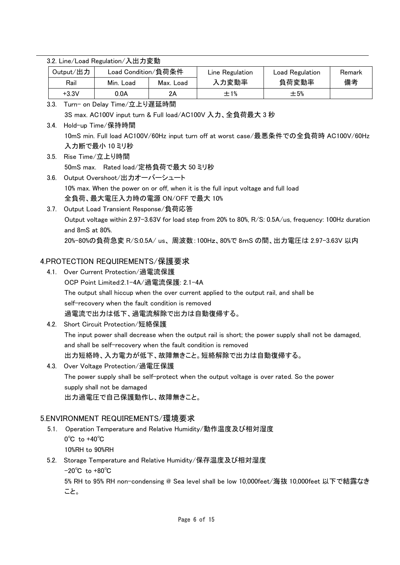|      | Output/出力                          | Load Condition/負荷条件                               |           | Line Regulation                                                                        | Load Regulation                                                                                         | Remark |
|------|------------------------------------|---------------------------------------------------|-----------|----------------------------------------------------------------------------------------|---------------------------------------------------------------------------------------------------------|--------|
|      | Rail                               | Min. Load                                         | Max. Load | 入力変動率                                                                                  | 負荷変動率                                                                                                   | 備考     |
|      | $+3.3V$                            | 0.0A                                              | 2A        | ±1%                                                                                    | ±5%                                                                                                     |        |
| 3.3. |                                    | Turn- on Delay Time/立上り遅延時間                       |           |                                                                                        |                                                                                                         |        |
|      |                                    |                                                   |           | 3S max. AC100V input turn & Full load/AC100V 入力、全負荷最大 3 秒                              |                                                                                                         |        |
| 3.4. |                                    | Hold-up Time/保持時間                                 |           |                                                                                        |                                                                                                         |        |
|      |                                    |                                                   |           |                                                                                        | 10mS min. Full load AC100V/60Hz input turn off at worst case/最悪条件での全負荷時 AC100V/60Hz                     |        |
|      |                                    | 入力断で最小 10 ミリ秒                                     |           |                                                                                        |                                                                                                         |        |
| 3.5. |                                    | Rise Time/立上り時間                                   |           |                                                                                        |                                                                                                         |        |
|      |                                    | 50mS max. Rated load/定格負荷で最大 50 ミリ秒               |           |                                                                                        |                                                                                                         |        |
| 3.6. |                                    | Output Overshoot/出力オーバーシュート                       |           |                                                                                        |                                                                                                         |        |
|      |                                    |                                                   |           | 10% max. When the power on or off, when it is the full input voltage and full load     |                                                                                                         |        |
|      |                                    | 全負荷、最大電圧入力時の電源 ON/OFF で最大 10%                     |           |                                                                                        |                                                                                                         |        |
| 3.7. |                                    | Output Load Transient Response/負荷応答               |           |                                                                                        |                                                                                                         |        |
|      |                                    |                                                   |           |                                                                                        | Output voltage within 2.97-3.63V for load step from 20% to 80%, R/S: 0.5A/us, frequency: 100Hz duration |        |
|      | and 8mS at 80%.                    |                                                   |           |                                                                                        |                                                                                                         |        |
|      |                                    |                                                   |           |                                                                                        | 20%-80%の負荷急変 R/S:0.5A/ us、周波数:100Hz、80%で 8mS の間、出力電圧は 2.97-3.63V 以内                                     |        |
|      |                                    | 4.PROTECTION REQUIREMENTS/保護要求                    |           |                                                                                        |                                                                                                         |        |
| 4.1. |                                    | Over Current Protection/過電流保護                     |           |                                                                                        |                                                                                                         |        |
|      |                                    | OCP Point Limited:2.1-4A/過電流保護: 2.1-4A            |           |                                                                                        |                                                                                                         |        |
|      |                                    |                                                   |           | The output shall hiccup when the over current applied to the output rail, and shall be |                                                                                                         |        |
|      |                                    | self-recovery when the fault condition is removed |           |                                                                                        |                                                                                                         |        |
|      |                                    | 過電流で出力は低下、過電流解除で出力は自動復帰する。                        |           |                                                                                        |                                                                                                         |        |
| 4.2. |                                    | Short Circuit Protection/短絡保護                     |           |                                                                                        |                                                                                                         |        |
|      |                                    |                                                   |           |                                                                                        | The input power shall decrease when the output rail is short; the power supply shall not be damaged,    |        |
|      |                                    |                                                   |           | and shall be self-recovery when the fault condition is removed                         |                                                                                                         |        |
|      |                                    |                                                   |           | 出力短絡時、入力電力が低下、故障無きこと。短絡解除で出力は自動復帰する。                                                   |                                                                                                         |        |
| 4.3. |                                    | Over Voltage Protection/過電圧保護                     |           |                                                                                        |                                                                                                         |        |
|      |                                    |                                                   |           |                                                                                        | The power supply shall be self-protect when the output voltage is over rated. So the power              |        |
|      |                                    | supply shall not be damaged                       |           |                                                                                        |                                                                                                         |        |
|      |                                    | 出力過電圧で自己保護動作し、故障無きこと。                             |           |                                                                                        |                                                                                                         |        |
|      |                                    | 5.ENVIRONMENT REQUIREMENTS/環境要求                   |           |                                                                                        |                                                                                                         |        |
| 5.1. |                                    |                                                   |           | Operation Temperature and Relative Humidity/動作温度及び相対湿度                                 |                                                                                                         |        |
|      | $0^{\circ}$ C to +40 $^{\circ}$ C  |                                                   |           |                                                                                        |                                                                                                         |        |
|      | 10%RH to 90%RH                     |                                                   |           |                                                                                        |                                                                                                         |        |
| 5.2. | $-20^{\circ}$ C to $+80^{\circ}$ C |                                                   |           | Storage Temperature and Relative Humidity/保存温度及び相対湿度                                   |                                                                                                         |        |
|      |                                    |                                                   |           |                                                                                        | 5% RH to 95% RH non-condensing @ Sea level shall be low 10,000feet/海抜 10,000feet 以下で結露なき                |        |
|      | こと。                                |                                                   |           |                                                                                        |                                                                                                         |        |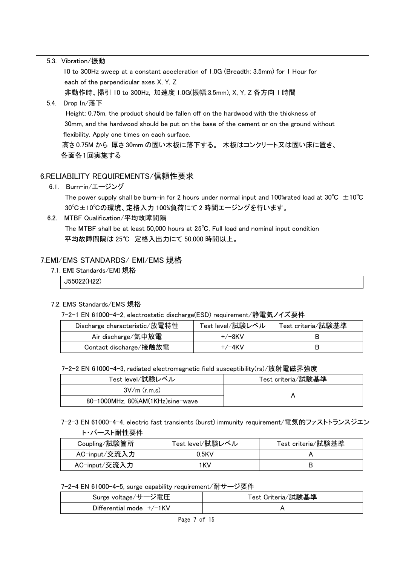|      | 5.3. Vibration/振動                                                                       |
|------|-----------------------------------------------------------------------------------------|
|      | 10 to 300Hz sweep at a constant acceleration of 1.0G (Breadth: 3.5mm) for 1 Hour for    |
|      | each of the perpendicular axes X, Y, Z                                                  |
|      | 非動作時、掃引 10 to 300Hz,加速度 1.0G(振幅:3.5mm), X, Y, Z 各方向 1 時間                                |
| 5.4. | Drop In/落下                                                                              |
|      | Height: 0.75m, the product should be fallen off on the hardwood with the thickness of   |
|      | 30mm, and the hardwood should be put on the base of the cement or on the ground without |
|      | flexibility. Apply one times on each surface.                                           |
|      | 高さ0.75M から 厚さ30mm の固い木板に落下する。 木板はコンクリート又は固い床に置き、                                        |
|      | 各面各1回実施する                                                                               |
|      |                                                                                         |
|      | 6.RELIABILITY REQUIREMENTS/信頼性要求                                                        |
|      | 6.1. Burn-in/エージング                                                                      |

The power supply shall be burn-in for 2 hours under normal input and 100%rated load at 30°C  $\pm$ 10°C 30℃±10℃の環境、定格入力 100%負荷にて 2 時間エージングを行います。

6.2. MTBF Qualification/平均故障間隔 The MTBF shall be at least 50,000 hours at 25℃, Full load and nominal input condition 平均故障間隔は 25℃ 定格入出力にて 50,000 時間以上。

#### 7.EMI/EMS STANDARDS/ EMI/EMS 規格

7.1. EMI Standards/EMI 規格

J55022(H22)

#### 7.2. EMS Standards/EMS 規格

7-2-1 EN 61000-4-2, electrostatic discharge(ESD) requirement/静電気ノイズ要件

| Discharge characteristic/放電特性 | Test level/試験レベル | Test criteria/試験基準 |
|-------------------------------|------------------|--------------------|
| Air discharge/気中放電            | $+/-8$ KV        |                    |
| Contact discharge/接触放電        | $+/-4$ KV        | В                  |

7-2-2 EN 61000-4-3, radiated electromagnetic field susceptibility(rs)/放射電磁界強度

| Test level/試験レベル                 | Test criteria/試験基準 |  |
|----------------------------------|--------------------|--|
| $3V/m$ (r.m.s)                   |                    |  |
| 80-1000MHz, 80%AM(1KHz)sine-wave |                    |  |

7-2-3 EN 61000-4-4, electric fast transients (burst) immunity requirement/電気的ファストトランスジエン ト・バースト耐性要件

| Coupling/試験箇所 | Test level/試験レベル | Test criteria/試験基準 |
|---------------|------------------|--------------------|
| AC-input/交流入力 | $0.5$ KV         |                    |
| AC-input/交流入力 | 1KV              |                    |

7-2-4 EN 61000-4-5, surge capability requirement/耐サージ要件

| Surge voltage /サージ電圧        | Test Criteria/試験基準 |
|-----------------------------|--------------------|
| Differential mode $+/-1$ KV |                    |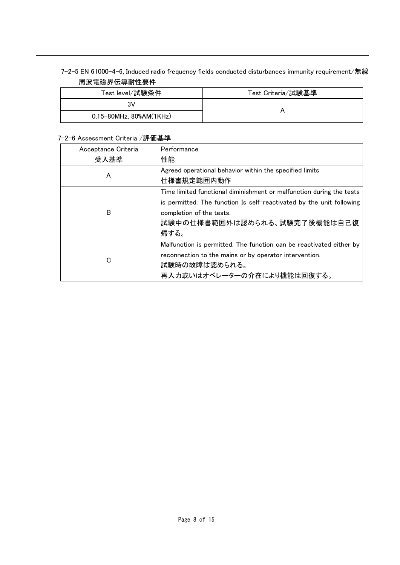#### 7-2-5 EN 61000-4-6, Induced radio frequency fields conducted disturbances immunity requirement/無線 周波電磁界伝導耐性要件

| Test level/試験条件         | Test Criteria/試験基準 |
|-------------------------|--------------------|
| 3V                      |                    |
| 0.15-80MHz, 80%AM(1KHz) |                    |

#### 7-2-6 Assessment Criteria /評価基準

| Acceptance Criteria | Performance                                                          |
|---------------------|----------------------------------------------------------------------|
| 受入基準                | 性能                                                                   |
|                     | Agreed operational behavior within the specified limits              |
| A                   | 仕様書規定範囲内動作                                                           |
|                     | Time limited functional diminishment or malfunction during the tests |
|                     | is permitted. The function Is self-reactivated by the unit following |
| B                   | completion of the tests.                                             |
|                     | 試験中の仕様書範囲外は認められる、試験完了後機能は自己復                                         |
|                     | 帰する。                                                                 |
|                     | Malfunction is permitted. The function can be reactivated either by  |
| C                   | reconnection to the mains or by operator intervention.               |
|                     | 試験時の故障は認められる。                                                        |
|                     | 再入力或いはオペレーターの介在により機能は回復する。                                           |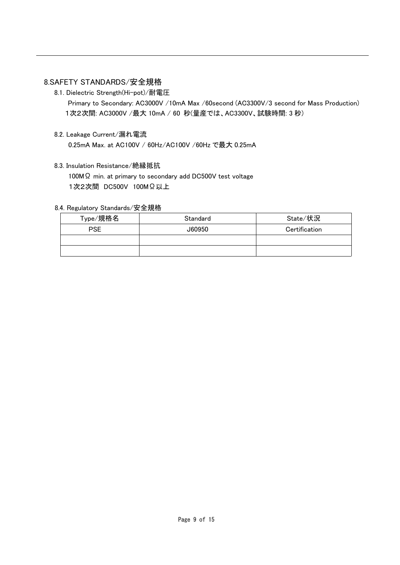#### 8.SAFETY STANDARDS/安全規格

8.1. Dielectric Strength(Hi-pot)/耐電圧

Primary to Secondary: AC3000V /10mA Max /60second (AC3300V/3 second for Mass Production) 1次2次間: AC3000V /最大 10mA / 60 秒(量産では、AC3300V、試験時間: 3 秒)

8.2. Leakage Current/漏れ電流

0.25mA Max. at AC100V / 60Hz/AC100V /60Hz で最大 0.25mA

8.3. Insulation Resistance/絶縁抵抗

100MΩ min. at primary to secondary add DC500V test voltage 1次2次間 DC500V 100MΩ以上

#### 8.4. Regulatory Standards/安全規格

| Type/規格名   | Standard | State/状況      |
|------------|----------|---------------|
| <b>PSE</b> | J60950   | Certification |
|            |          |               |
|            |          |               |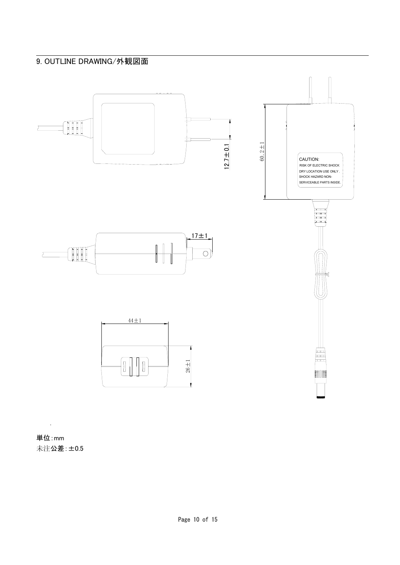## 9. OUTLINE DRAWING/外観図面



単位:mm 未注公差:±0.5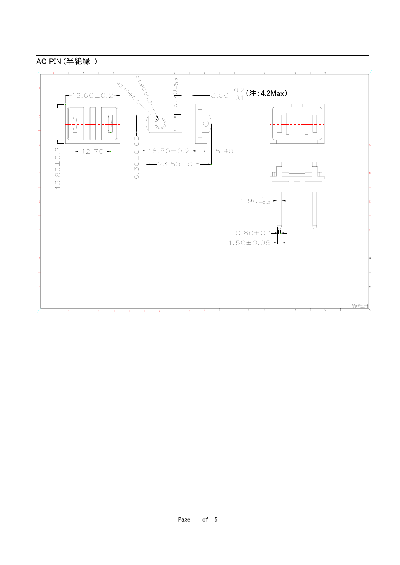### AC PIN (半絶縁 )

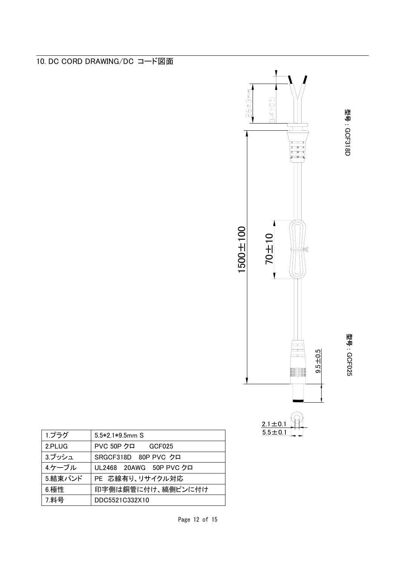



型号: GCF318D GCF318D

型号:

GCF025

| 1.プラグ   | $5.5*2.1*9.5mm$ S       |  |  |
|---------|-------------------------|--|--|
| 2.PLUG  | PVC 50P クロ GCF025       |  |  |
| 3.ブッシュ  | SRGCF318D 80P PVC クロ    |  |  |
| 4.ケーブル  | UL2468 20AWG 50P PVC クロ |  |  |
| 5.結束バンド | PE 芯線有り、リサイクル対応         |  |  |
| 6.極性    | 印字側は銅管に付け、縞側ピンに付け       |  |  |
| 7.料号    | DDC5521C332X10          |  |  |